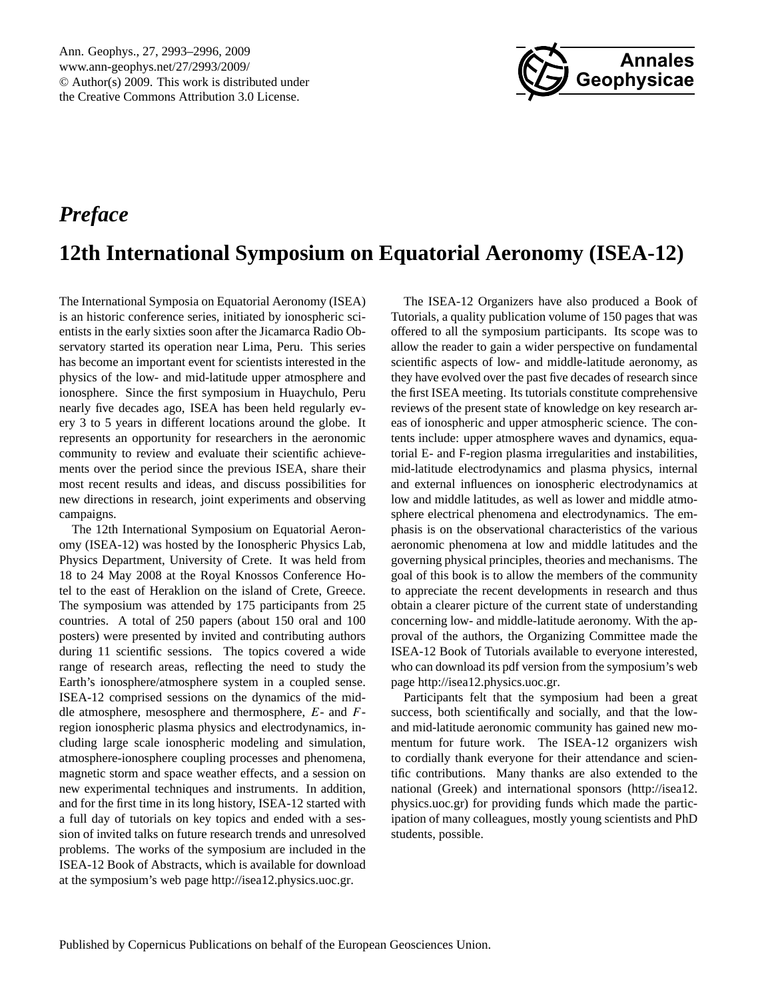

## <span id="page-0-0"></span>*Preface*

# **12th International Symposium on Equatorial Aeronomy (ISEA-12)**

The International Symposia on Equatorial Aeronomy (ISEA) is an historic conference series, initiated by ionospheric scientists in the early sixties soon after the Jicamarca Radio Observatory started its operation near Lima, Peru. This series has become an important event for scientists interested in the physics of the low- and mid-latitude upper atmosphere and ionosphere. Since the first symposium in Huaychulo, Peru nearly five decades ago, ISEA has been held regularly every 3 to 5 years in different locations around the globe. It represents an opportunity for researchers in the aeronomic community to review and evaluate their scientific achievements over the period since the previous ISEA, share their most recent results and ideas, and discuss possibilities for new directions in research, joint experiments and observing campaigns.

The 12th International Symposium on Equatorial Aeronomy (ISEA-12) was hosted by the Ionospheric Physics Lab, Physics Department, University of Crete. It was held from 18 to 24 May 2008 at the Royal Knossos Conference Hotel to the east of Heraklion on the island of Crete, Greece. The symposium was attended by 175 participants from 25 countries. A total of 250 papers (about 150 oral and 100 posters) were presented by invited and contributing authors during 11 scientific sessions. The topics covered a wide range of research areas, reflecting the need to study the Earth's ionosphere/atmosphere system in a coupled sense. ISEA-12 comprised sessions on the dynamics of the middle atmosphere, mesosphere and thermosphere, E- and Fregion ionospheric plasma physics and electrodynamics, including large scale ionospheric modeling and simulation, atmosphere-ionosphere coupling processes and phenomena, magnetic storm and space weather effects, and a session on new experimental techniques and instruments. In addition, and for the first time in its long history, ISEA-12 started with a full day of tutorials on key topics and ended with a session of invited talks on future research trends and unresolved problems. The works of the symposium are included in the ISEA-12 Book of Abstracts, which is available for download at the symposium's web page [http://isea12.physics.uoc.gr.](http://isea12.physics.uoc.gr)

The ISEA-12 Organizers have also produced a Book of Tutorials, a quality publication volume of 150 pages that was offered to all the symposium participants. Its scope was to allow the reader to gain a wider perspective on fundamental scientific aspects of low- and middle-latitude aeronomy, as they have evolved over the past five decades of research since the first ISEA meeting. Its tutorials constitute comprehensive reviews of the present state of knowledge on key research areas of ionospheric and upper atmospheric science. The contents include: upper atmosphere waves and dynamics, equatorial E- and F-region plasma irregularities and instabilities, mid-latitude electrodynamics and plasma physics, internal and external influences on ionospheric electrodynamics at low and middle latitudes, as well as lower and middle atmosphere electrical phenomena and electrodynamics. The emphasis is on the observational characteristics of the various aeronomic phenomena at low and middle latitudes and the governing physical principles, theories and mechanisms. The goal of this book is to allow the members of the community to appreciate the recent developments in research and thus obtain a clearer picture of the current state of understanding concerning low- and middle-latitude aeronomy. With the approval of the authors, the Organizing Committee made the ISEA-12 Book of Tutorials available to everyone interested, who can download its pdf version from the symposium's web page [http://isea12.physics.uoc.gr.](http://isea12.physics.uoc.gr)

Participants felt that the symposium had been a great success, both scientifically and socially, and that the lowand mid-latitude aeronomic community has gained new momentum for future work. The ISEA-12 organizers wish to cordially thank everyone for their attendance and scientific contributions. Many thanks are also extended to the national (Greek) and international sponsors [\(http://isea12.](http://isea12.physics.uoc.gr) [physics.uoc.gr\)](http://isea12.physics.uoc.gr) for providing funds which made the participation of many colleagues, mostly young scientists and PhD students, possible.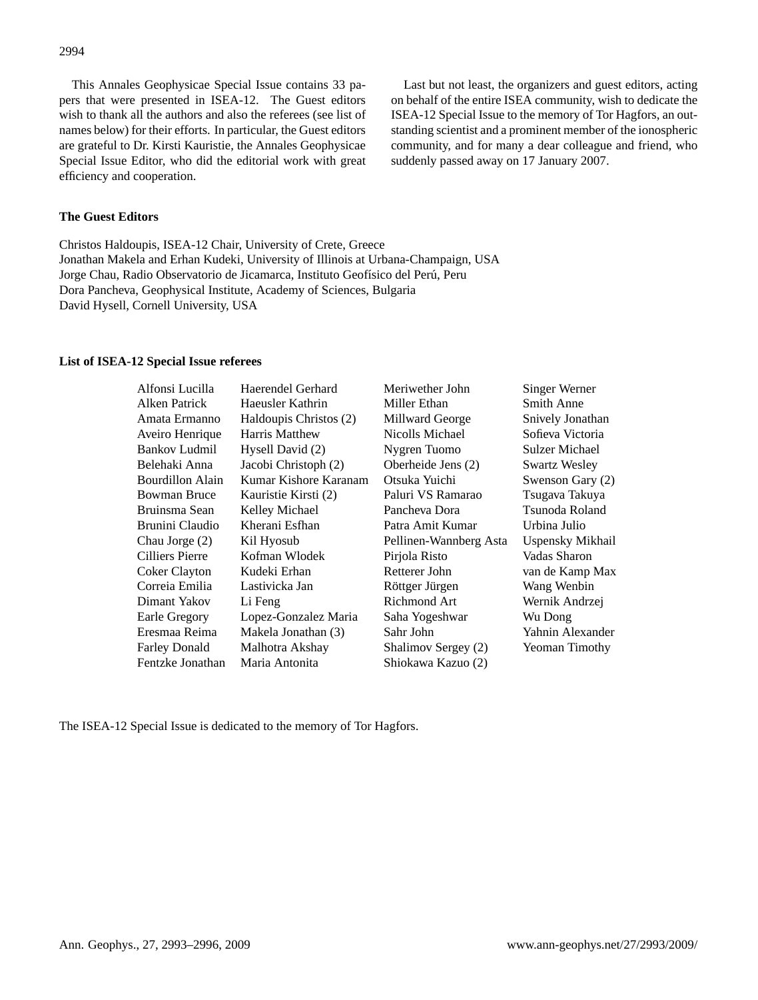This Annales Geophysicae Special Issue contains 33 papers that were presented in ISEA-12. The Guest editors wish to thank all the authors and also the referees (see list of names below) for their efforts. In particular, the Guest editors are grateful to Dr. Kirsti Kauristie, the Annales Geophysicae Special Issue Editor, who did the editorial work with great efficiency and cooperation.

Last but not least, the organizers and guest editors, acting on behalf of the entire ISEA community, wish to dedicate the ISEA-12 Special Issue to the memory of Tor Hagfors, an outstanding scientist and a prominent member of the ionospheric community, and for many a dear colleague and friend, who suddenly passed away on 17 January 2007.

### **The Guest Editors**

Christos Haldoupis, ISEA-12 Chair, University of Crete, Greece Jonathan Makela and Erhan Kudeki, University of Illinois at Urbana-Champaign, USA Jorge Chau, Radio Observatorio de Jicamarca, Instituto Geofísico del Perú, Peru Dora Pancheva, Geophysical Institute, Academy of Sciences, Bulgaria David Hysell, Cornell University, USA

#### **List of ISEA-12 Special Issue referees**

| Haerendel Gerhard      | Meriwether John        | Singer Werner    |
|------------------------|------------------------|------------------|
| Haeusler Kathrin       | Miller Ethan           | Smith Anne       |
| Haldoupis Christos (2) | Millward George        | Snively Jonathan |
| Harris Matthew         | Nicolls Michael        | Sofieva Victoria |
| Hysell David (2)       | Nygren Tuomo           | Sulzer Michael   |
| Jacobi Christoph (2)   | Oberheide Jens (2)     | Swartz Wesley    |
| Kumar Kishore Karanam  | Otsuka Yuichi          | Swenson Gary (2) |
| Kauristie Kirsti (2)   | Paluri VS Ramarao      | Tsugava Takuya   |
| Kelley Michael         | Pancheva Dora          | Tsunoda Roland   |
| Kherani Esfhan         | Patra Amit Kumar       | Urbina Julio     |
| Kil Hyosub             | Pellinen-Wannberg Asta | Uspensky Mikhail |
| Kofman Wlodek          | Pirjola Risto          | Vadas Sharon     |
| Kudeki Erhan           | Retterer John          | van de Kamp Max  |
| Lastivicka Jan         | Röttger Jürgen         | Wang Wenbin      |
| Li Feng                | Richmond Art           | Wernik Andrzej   |
| Lopez-Gonzalez Maria   | Saha Yogeshwar         | Wu Dong          |
| Makela Jonathan (3)    | Sahr John              | Yahnin Alexander |
| Malhotra Akshay        | Shalimov Sergey (2)    | Yeoman Timothy   |
| Maria Antonita         | Shiokawa Kazuo (2)     |                  |
|                        |                        |                  |

The ISEA-12 Special Issue is dedicated to the memory of Tor Hagfors.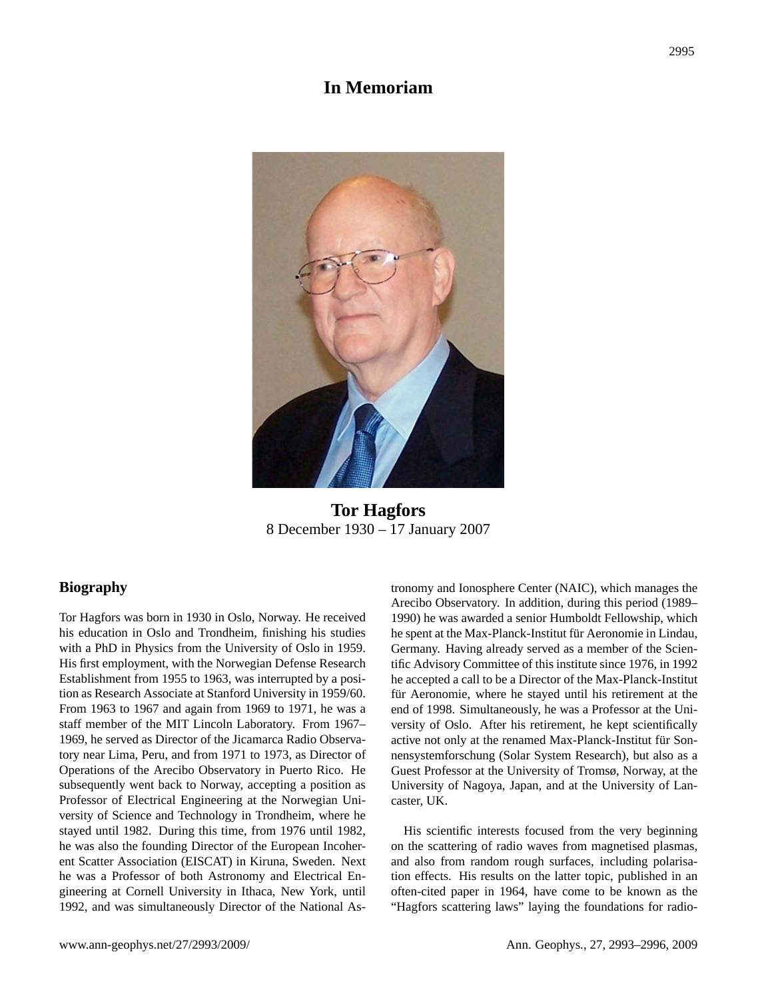## **In Memoriam**



**Tor Hagfors** 8 December 1930 – 17 January 2007 **Tor Hagfors**

### **Biography**

Tor Hagfors was born in 1930 in Oslo, Norway. He received his education in Oslo and Trondheim, finishing his studies with a PhD in Physics from the University of Oslo in 1959. His first employment, with the Norwegian Defense Research Establishment from 1955 to 1963, was interrupted by a position as Research Associate at Stanford University in 1959/60. From 1963 to 1967 and again from 1969 to 1971, he was a staff member of the MIT Lincoln Laboratory. From 1967– 1969, he served as Director of the Jicamarca Radio Observatory near Lima, Peru, and from 1971 to 1973, as Director of Operations of the Arecibo Observatory in Puerto Rico. He subsequently went back to Norway, accepting a position as Professor of Electrical Engineering at the Norwegian University of Science and Technology in Trondheim, where he stayed until 1982. During this time, from 1976 until 1982, he was also the founding Director of the European Incoherent Scatter Association (EISCAT) in Kiruna, Sweden. Next he was a Professor of both Astronomy and Electrical Engineering at Cornell University in Ithaca, New York, until 1992, and was simultaneously Director of the National Astronomy and Ionosphere Center (NAIC), which manages the Arecibo Observatory. In addition, during this period (1989– 1990) he was awarded a senior Humboldt Fellowship, which he spent at the Max-Planck-Institut für Aeronomie in Lindau, Germany. Having already served as a member of the Scientific Advisory Committee of this institute since 1976, in 1992 he accepted a call to be a Director of the Max-Planck-Institut für Aeronomie, where he stayed until his retirement at the end of 1998. Simultaneously, he was a Professor at the University of Oslo. After his retirement, he kept scientifically active not only at the renamed Max-Planck-Institut für Sonnensystemforschung (Solar System Research), but also as a Guest Professor at the University of Tromsø, Norway, at the University of Nagoya, Japan, and at the University of Lancaster, UK.

His scientific interests focused from the very beginning on the scattering of radio waves from magnetised plasmas, and also from random rough surfaces, including polarisation effects. His results on the latter topic, published in an often-cited paper in 1964, have come to be known as the "Hagfors scattering laws" laying the foundations for radio